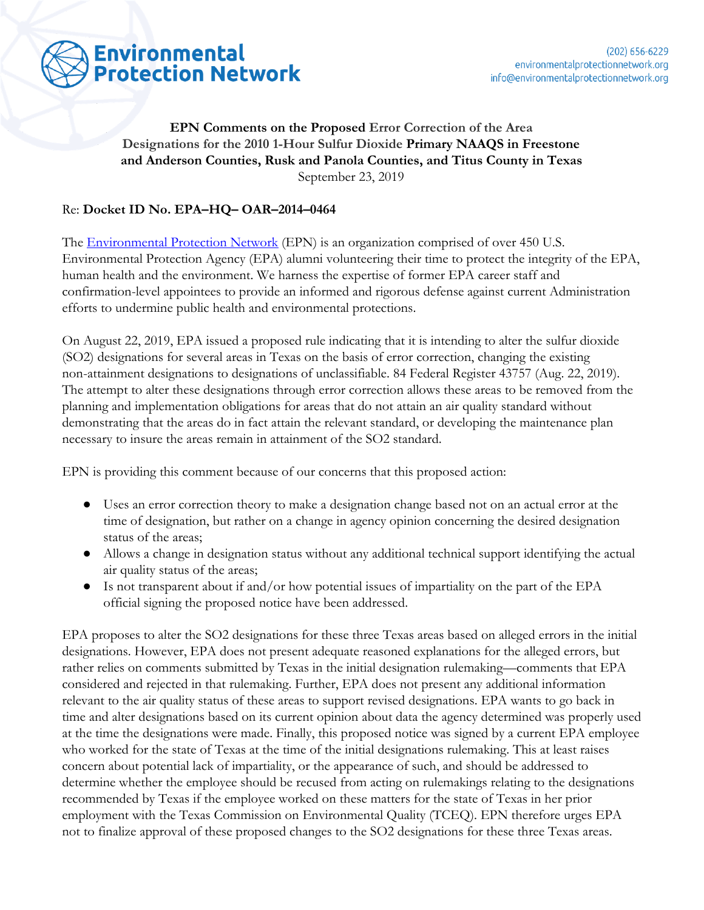

# **EPN Comments on the Proposed Error Correction of the Area Designations for the 2010 1-Hour Sulfur Dioxide Primary NAAQS in Freestone and Anderson Counties, Rusk and Panola Counties, and Titus County in Texas** September 23, 2019

### Re: **Docket ID No. EPA–HQ– OAR–2014–0464**

The [Environmental Protection Network](https://www.environmentalprotectionnetwork.org/) (EPN) is an organization comprised of over 450 U.S. Environmental Protection Agency (EPA) alumni volunteering their time to protect the integrity of the EPA, human health and the environment. We harness the expertise of former EPA career staff and confirmation-level appointees to provide an informed and rigorous defense against current Administration efforts to undermine public health and environmental protections.

On August 22, 2019, EPA issued a proposed rule indicating that it is intending to alter the sulfur dioxide (SO2) designations for several areas in Texas on the basis of error correction, changing the existing non-attainment designations to designations of unclassifiable. 84 Federal Register 43757 (Aug. 22, 2019). The attempt to alter these designations through error correction allows these areas to be removed from the planning and implementation obligations for areas that do not attain an air quality standard without demonstrating that the areas do in fact attain the relevant standard, or developing the maintenance plan necessary to insure the areas remain in attainment of the SO2 standard.

EPN is providing this comment because of our concerns that this proposed action:

- Uses an error correction theory to make a designation change based not on an actual error at the time of designation, but rather on a change in agency opinion concerning the desired designation status of the areas;
- Allows a change in designation status without any additional technical support identifying the actual air quality status of the areas;
- Is not transparent about if and/or how potential issues of impartiality on the part of the EPA official signing the proposed notice have been addressed.

EPA proposes to alter the SO2 designations for these three Texas areas based on alleged errors in the initial designations. However, EPA does not present adequate reasoned explanations for the alleged errors, but rather relies on comments submitted by Texas in the initial designation rulemaking—comments that EPA considered and rejected in that rulemaking. Further, EPA does not present any additional information relevant to the air quality status of these areas to support revised designations. EPA wants to go back in time and alter designations based on its current opinion about data the agency determined was properly used at the time the designations were made. Finally, this proposed notice was signed by a current EPA employee who worked for the state of Texas at the time of the initial designations rulemaking. This at least raises concern about potential lack of impartiality, or the appearance of such, and should be addressed to determine whether the employee should be recused from acting on rulemakings relating to the designations recommended by Texas if the employee worked on these matters for the state of Texas in her prior employment with the Texas Commission on Environmental Quality (TCEQ). EPN therefore urges EPA not to finalize approval of these proposed changes to the SO2 designations for these three Texas areas.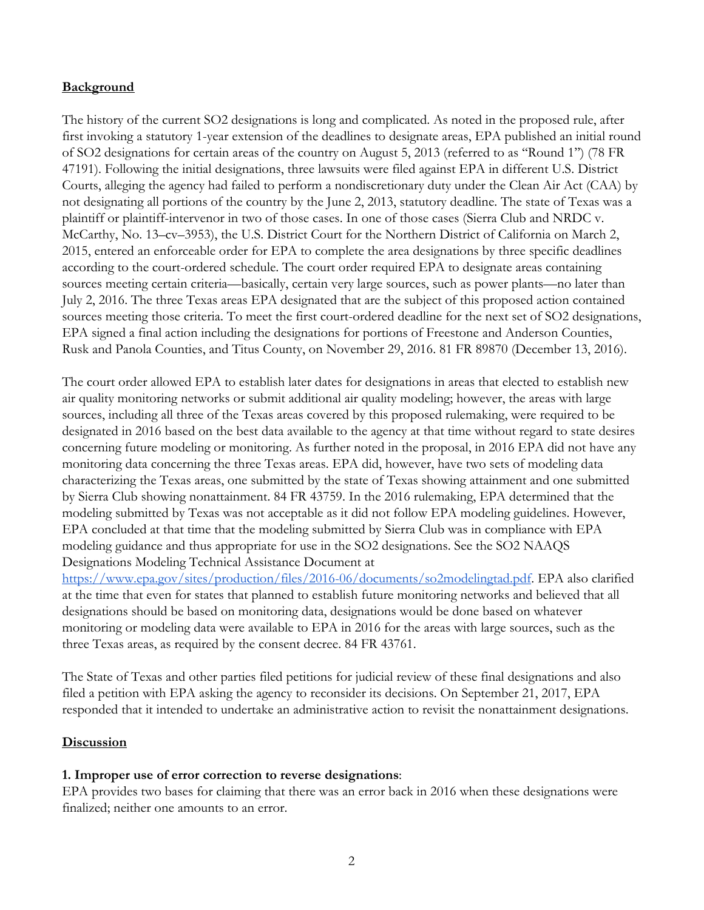#### **Background**

The history of the current SO2 designations is long and complicated. As noted in the proposed rule, after first invoking a statutory 1-year extension of the deadlines to designate areas, EPA published an initial round of SO2 designations for certain areas of the country on August 5, 2013 (referred to as ''Round 1'') (78 FR 47191). Following the initial designations, three lawsuits were filed against EPA in different U.S. District Courts, alleging the agency had failed to perform a nondiscretionary duty under the Clean Air Act (CAA) by not designating all portions of the country by the June 2, 2013, statutory deadline. The state of Texas was a plaintiff or plaintiff-intervenor in two of those cases. In one of those cases (Sierra Club and NRDC v. McCarthy, No. 13–cv–3953), the U.S. District Court for the Northern District of California on March 2, 2015, entered an enforceable order for EPA to complete the area designations by three specific deadlines according to the court-ordered schedule. The court order required EPA to designate areas containing sources meeting certain criteria—basically, certain very large sources, such as power plants—no later than July 2, 2016. The three Texas areas EPA designated that are the subject of this proposed action contained sources meeting those criteria. To meet the first court-ordered deadline for the next set of SO2 designations, EPA signed a final action including the designations for portions of Freestone and Anderson Counties, Rusk and Panola Counties, and Titus County, on November 29, 2016. 81 FR 89870 (December 13, 2016).

The court order allowed EPA to establish later dates for designations in areas that elected to establish new air quality monitoring networks or submit additional air quality modeling; however, the areas with large sources, including all three of the Texas areas covered by this proposed rulemaking, were required to be designated in 2016 based on the best data available to the agency at that time without regard to state desires concerning future modeling or monitoring. As further noted in the proposal, in 2016 EPA did not have any monitoring data concerning the three Texas areas. EPA did, however, have two sets of modeling data characterizing the Texas areas, one submitted by the state of Texas showing attainment and one submitted by Sierra Club showing nonattainment. 84 FR 43759. In the 2016 rulemaking, EPA determined that the modeling submitted by Texas was not acceptable as it did not follow EPA modeling guidelines. However, EPA concluded at that time that the modeling submitted by Sierra Club was in compliance with EPA modeling guidance and thus appropriate for use in the SO2 designations. See the SO2 NAAQS Designations Modeling Technical Assistance Document at

<https://www.epa.gov/sites/production/files/2016-06/documents/so2modelingtad.pdf>. EPA also clarified at the time that even for states that planned to establish future monitoring networks and believed that all designations should be based on monitoring data, designations would be done based on whatever monitoring or modeling data were available to EPA in 2016 for the areas with large sources, such as the three Texas areas, as required by the consent decree. 84 FR 43761.

The State of Texas and other parties filed petitions for judicial review of these final designations and also filed a petition with EPA asking the agency to reconsider its decisions. On September 21, 2017, EPA responded that it intended to undertake an administrative action to revisit the nonattainment designations.

#### **Discussion**

#### **1. Improper use of error correction to reverse designations**:

EPA provides two bases for claiming that there was an error back in 2016 when these designations were finalized; neither one amounts to an error.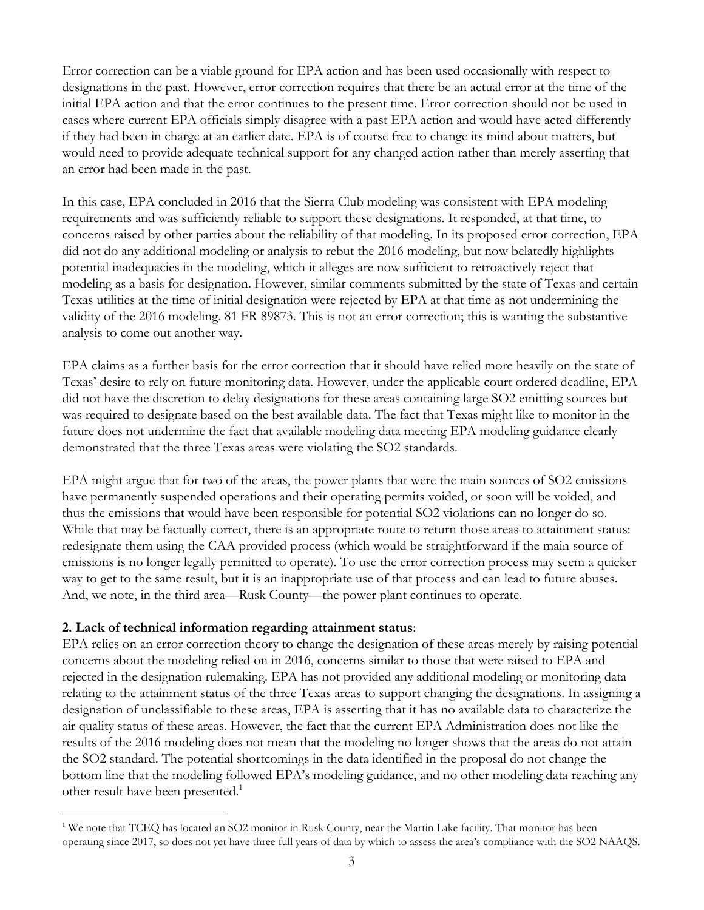Error correction can be a viable ground for EPA action and has been used occasionally with respect to designations in the past. However, error correction requires that there be an actual error at the time of the initial EPA action and that the error continues to the present time. Error correction should not be used in cases where current EPA officials simply disagree with a past EPA action and would have acted differently if they had been in charge at an earlier date. EPA is of course free to change its mind about matters, but would need to provide adequate technical support for any changed action rather than merely asserting that an error had been made in the past.

In this case, EPA concluded in 2016 that the Sierra Club modeling was consistent with EPA modeling requirements and was sufficiently reliable to support these designations. It responded, at that time, to concerns raised by other parties about the reliability of that modeling. In its proposed error correction, EPA did not do any additional modeling or analysis to rebut the 2016 modeling, but now belatedly highlights potential inadequacies in the modeling, which it alleges are now sufficient to retroactively reject that modeling as a basis for designation. However, similar comments submitted by the state of Texas and certain Texas utilities at the time of initial designation were rejected by EPA at that time as not undermining the validity of the 2016 modeling. 81 FR 89873. This is not an error correction; this is wanting the substantive analysis to come out another way.

EPA claims as a further basis for the error correction that it should have relied more heavily on the state of Texas' desire to rely on future monitoring data. However, under the applicable court ordered deadline, EPA did not have the discretion to delay designations for these areas containing large SO2 emitting sources but was required to designate based on the best available data. The fact that Texas might like to monitor in the future does not undermine the fact that available modeling data meeting EPA modeling guidance clearly demonstrated that the three Texas areas were violating the SO2 standards.

EPA might argue that for two of the areas, the power plants that were the main sources of SO2 emissions have permanently suspended operations and their operating permits voided, or soon will be voided, and thus the emissions that would have been responsible for potential SO2 violations can no longer do so. While that may be factually correct, there is an appropriate route to return those areas to attainment status: redesignate them using the CAA provided process (which would be straightforward if the main source of emissions is no longer legally permitted to operate). To use the error correction process may seem a quicker way to get to the same result, but it is an inappropriate use of that process and can lead to future abuses. And, we note, in the third area—Rusk County—the power plant continues to operate.

#### **2. Lack of technical information regarding attainment status**:

EPA relies on an error correction theory to change the designation of these areas merely by raising potential concerns about the modeling relied on in 2016, concerns similar to those that were raised to EPA and rejected in the designation rulemaking. EPA has not provided any additional modeling or monitoring data relating to the attainment status of the three Texas areas to support changing the designations. In assigning a designation of unclassifiable to these areas, EPA is asserting that it has no available data to characterize the air quality status of these areas. However, the fact that the current EPA Administration does not like the results of the 2016 modeling does not mean that the modeling no longer shows that the areas do not attain the SO2 standard. The potential shortcomings in the data identified in the proposal do not change the bottom line that the modeling followed EPA's modeling guidance, and no other modeling data reaching any other result have been presented.<sup>1</sup>

<sup>&</sup>lt;sup>1</sup> We note that TCEQ has located an SO2 monitor in Rusk County, near the Martin Lake facility. That monitor has been operating since 2017, so does not yet have three full years of data by which to assess the area's compliance with the SO2 NAAQS.